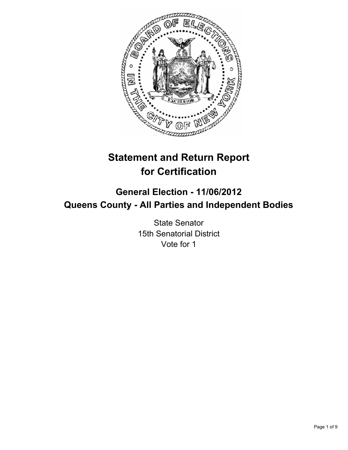

# **Statement and Return Report for Certification**

# **General Election - 11/06/2012 Queens County - All Parties and Independent Bodies**

State Senator 15th Senatorial District Vote for 1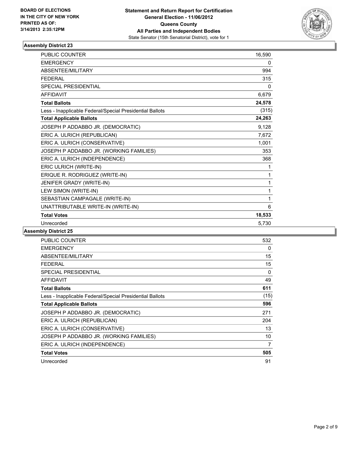

| <b>PUBLIC COUNTER</b>                                    | 16,590 |
|----------------------------------------------------------|--------|
| <b>EMERGENCY</b>                                         | 0      |
| ABSENTEE/MILITARY                                        | 994    |
| <b>FEDERAL</b>                                           | 315    |
| <b>SPECIAL PRESIDENTIAL</b>                              | 0      |
| <b>AFFIDAVIT</b>                                         | 6,679  |
| <b>Total Ballots</b>                                     | 24,578 |
| Less - Inapplicable Federal/Special Presidential Ballots | (315)  |
| <b>Total Applicable Ballots</b>                          | 24,263 |
| JOSEPH P ADDABBO JR. (DEMOCRATIC)                        | 9,128  |
| ERIC A. ULRICH (REPUBLICAN)                              | 7,672  |
| ERIC A. ULRICH (CONSERVATIVE)                            | 1,001  |
| JOSEPH P ADDABBO JR. (WORKING FAMILIES)                  | 353    |
| ERIC A. ULRICH (INDEPENDENCE)                            | 368    |
| ERIC ULRICH (WRITE-IN)                                   | 1      |
| ERIQUE R. RODRIGUEZ (WRITE-IN)                           | 1      |
| JENIFER GRADY (WRITE-IN)                                 | 1      |
| LEW SIMON (WRITE-IN)                                     | 1      |
| SEBASTIAN CAMPAGALE (WRITE-IN)                           | 1      |
| UNATTRIBUTABLE WRITE-IN (WRITE-IN)                       | 6      |
| <b>Total Votes</b>                                       | 18,533 |
| Unrecorded                                               | 5,730  |

| PUBLIC COUNTER                                           | 532  |
|----------------------------------------------------------|------|
| <b>EMERGENCY</b>                                         | 0    |
| ABSENTEE/MILITARY                                        | 15   |
| <b>FEDERAL</b>                                           | 15   |
| SPECIAL PRESIDENTIAL                                     | 0    |
| <b>AFFIDAVIT</b>                                         | 49   |
| <b>Total Ballots</b>                                     | 611  |
| Less - Inapplicable Federal/Special Presidential Ballots | (15) |
| <b>Total Applicable Ballots</b>                          | 596  |
| JOSEPH P ADDABBO JR. (DEMOCRATIC)                        | 271  |
| ERIC A. ULRICH (REPUBLICAN)                              | 204  |
| ERIC A. ULRICH (CONSERVATIVE)                            | 13   |
| JOSEPH P ADDABBO JR. (WORKING FAMILIES)                  | 10   |
| ERIC A. ULRICH (INDEPENDENCE)                            | 7    |
| <b>Total Votes</b>                                       | 505  |
| Unrecorded                                               | 91   |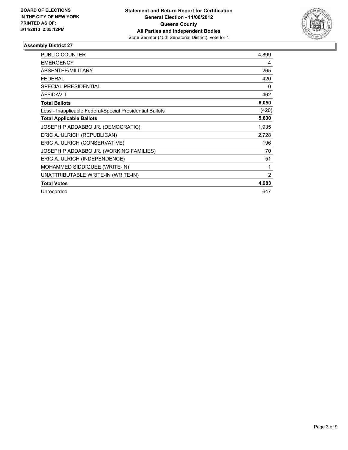

| <b>PUBLIC COUNTER</b>                                    | 4,899 |
|----------------------------------------------------------|-------|
| <b>EMERGENCY</b>                                         | 4     |
| ABSENTEE/MILITARY                                        | 265   |
| <b>FEDERAL</b>                                           | 420   |
| <b>SPECIAL PRESIDENTIAL</b>                              | 0     |
| AFFIDAVIT                                                | 462   |
| <b>Total Ballots</b>                                     | 6,050 |
| Less - Inapplicable Federal/Special Presidential Ballots | (420) |
| <b>Total Applicable Ballots</b>                          | 5,630 |
| JOSEPH P ADDABBO JR. (DEMOCRATIC)                        | 1,935 |
| ERIC A. ULRICH (REPUBLICAN)                              | 2,728 |
| ERIC A. ULRICH (CONSERVATIVE)                            | 196   |
| JOSEPH P ADDABBO JR. (WORKING FAMILIES)                  | 70    |
| ERIC A. ULRICH (INDEPENDENCE)                            | 51    |
| MOHAMMED SIDDIQUEE (WRITE-IN)                            | 1     |
| UNATTRIBUTABLE WRITE-IN (WRITE-IN)                       | 2     |
| <b>Total Votes</b>                                       | 4,983 |
| Unrecorded                                               | 647   |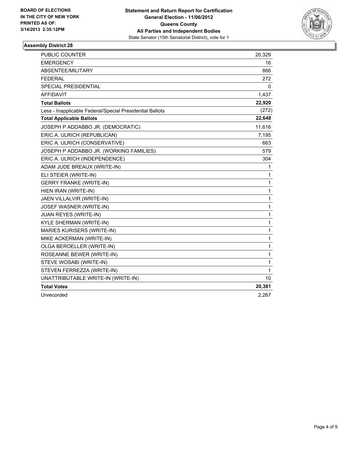

| <b>PUBLIC COUNTER</b>                                    | 20,329       |
|----------------------------------------------------------|--------------|
| <b>EMERGENCY</b>                                         | 16           |
| <b>ABSENTEE/MILITARY</b>                                 | 866          |
| <b>FEDERAL</b>                                           | 272          |
| <b>SPECIAL PRESIDENTIAL</b>                              | 0            |
| <b>AFFIDAVIT</b>                                         | 1,437        |
| <b>Total Ballots</b>                                     | 22,920       |
| Less - Inapplicable Federal/Special Presidential Ballots | (272)        |
| <b>Total Applicable Ballots</b>                          | 22,648       |
| JOSEPH P ADDABBO JR. (DEMOCRATIC)                        | 11,616       |
| ERIC A. ULRICH (REPUBLICAN)                              | 7,195        |
| ERIC A. ULRICH (CONSERVATIVE)                            | 663          |
| JOSEPH P ADDABBO JR. (WORKING FAMILIES)                  | 579          |
| ERIC A. ULRICH (INDEPENDENCE)                            | 304          |
| ADAM JUDE BREAUX (WRITE-IN)                              | 1            |
| ELI STEIER (WRITE-IN)                                    | 1            |
| <b>GERRY FRANKE (WRITE-IN)</b>                           | 1            |
| HIEN IRAN (WRITE-IN)                                     | 1            |
| JAEN VILLALVIR (WRITE-IN)                                | 1            |
| JOSEF WASNER (WRITE-IN)                                  | 1            |
| JUAN REYES (WRITE-IN)                                    | $\mathbf{1}$ |
| KYLE SHERMAN (WRITE-IN)                                  | 1            |
| MARIES KURISERS (WRITE-IN)                               | 1            |
| MIKE ACKERMAN (WRITE-IN)                                 | 1            |
| OLGA BEROELLER (WRITE-IN)                                | 1            |
| ROSEANNE BEWER (WRITE-IN)                                | 1            |
| STEVE WOSABI (WRITE-IN)                                  | $\mathbf{1}$ |
| STEVEN FERREZZA (WRITE-IN)                               | 1            |
| UNATTRIBUTABLE WRITE-IN (WRITE-IN)                       | 10           |
| <b>Total Votes</b>                                       | 20,381       |
| Unrecorded                                               | 2,267        |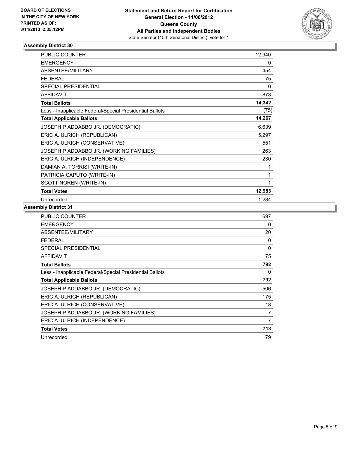

| PUBLIC COUNTER                                           | 12,940 |
|----------------------------------------------------------|--------|
| <b>EMERGENCY</b>                                         | 0      |
| ABSENTEE/MILITARY                                        | 454    |
| <b>FEDERAL</b>                                           | 75     |
| <b>SPECIAL PRESIDENTIAL</b>                              | 0      |
| <b>AFFIDAVIT</b>                                         | 873    |
| <b>Total Ballots</b>                                     | 14,342 |
| Less - Inapplicable Federal/Special Presidential Ballots | (75)   |
| <b>Total Applicable Ballots</b>                          | 14,267 |
| JOSEPH P ADDABBO JR. (DEMOCRATIC)                        | 6,639  |
| ERIC A. ULRICH (REPUBLICAN)                              | 5,297  |
| ERIC A. ULRICH (CONSERVATIVE)                            | 551    |
| JOSEPH P ADDABBO JR. (WORKING FAMILIES)                  | 263    |
| ERIC A. ULRICH (INDEPENDENCE)                            | 230    |
| DAMIAN A. TORRISI (WRITE-IN)                             | 1      |
| PATRICIA CAPUTO (WRITE-IN)                               | 1      |
| SCOTT NOREN (WRITE-IN)                                   | 1      |
| <b>Total Votes</b>                                       | 12,983 |
| Unrecorded                                               | 1,284  |

| <b>PUBLIC COUNTER</b>                                    | 697 |
|----------------------------------------------------------|-----|
| <b>EMERGENCY</b>                                         | 0   |
| ABSENTEE/MILITARY                                        | 20  |
| FEDERAL                                                  | 0   |
| <b>SPECIAL PRESIDENTIAL</b>                              | 0   |
| <b>AFFIDAVIT</b>                                         | 75  |
| <b>Total Ballots</b>                                     | 792 |
| Less - Inapplicable Federal/Special Presidential Ballots | 0   |
| <b>Total Applicable Ballots</b>                          | 792 |
| JOSEPH P ADDABBO JR. (DEMOCRATIC)                        | 506 |
| ERIC A. ULRICH (REPUBLICAN)                              | 175 |
| ERIC A. ULRICH (CONSERVATIVE)                            | 18  |
| JOSEPH P ADDABBO JR. (WORKING FAMILIES)                  | 7   |
| ERIC A. ULRICH (INDEPENDENCE)                            | 7   |
| <b>Total Votes</b>                                       | 713 |
| Unrecorded                                               | 79  |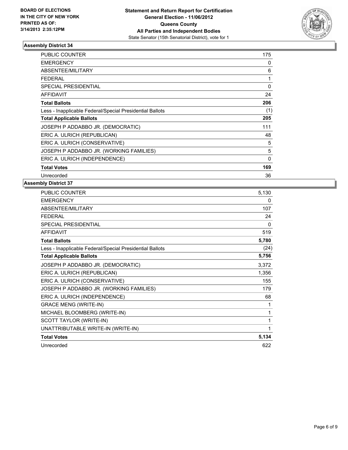

| <b>PUBLIC COUNTER</b>                                    | 175      |
|----------------------------------------------------------|----------|
| <b>EMERGENCY</b>                                         | 0        |
| ABSENTEE/MILITARY                                        | 6        |
| <b>FEDERAL</b>                                           | 1        |
| <b>SPECIAL PRESIDENTIAL</b>                              | $\Omega$ |
| <b>AFFIDAVIT</b>                                         | 24       |
| <b>Total Ballots</b>                                     | 206      |
| Less - Inapplicable Federal/Special Presidential Ballots | (1)      |
| <b>Total Applicable Ballots</b>                          | 205      |
| JOSEPH P ADDABBO JR. (DEMOCRATIC)                        | 111      |
| ERIC A. ULRICH (REPUBLICAN)                              | 48       |
| ERIC A. ULRICH (CONSERVATIVE)                            | 5        |
| JOSEPH P ADDABBO JR. (WORKING FAMILIES)                  | 5        |
| ERIC A. ULRICH (INDEPENDENCE)                            | 0        |
| <b>Total Votes</b>                                       | 169      |
| Unrecorded                                               | 36       |

| <b>PUBLIC COUNTER</b>                                    | 5,130 |
|----------------------------------------------------------|-------|
| <b>EMERGENCY</b>                                         | 0     |
| <b>ABSENTEE/MILITARY</b>                                 | 107   |
| <b>FEDERAL</b>                                           | 24    |
| <b>SPECIAL PRESIDENTIAL</b>                              | 0     |
| <b>AFFIDAVIT</b>                                         | 519   |
| <b>Total Ballots</b>                                     | 5,780 |
| Less - Inapplicable Federal/Special Presidential Ballots | (24)  |
| <b>Total Applicable Ballots</b>                          | 5,756 |
| JOSEPH P ADDABBO JR. (DEMOCRATIC)                        | 3,372 |
| ERIC A. ULRICH (REPUBLICAN)                              | 1,356 |
| ERIC A. ULRICH (CONSERVATIVE)                            | 155   |
| JOSEPH P ADDABBO JR. (WORKING FAMILIES)                  | 179   |
| ERIC A. ULRICH (INDEPENDENCE)                            | 68    |
| <b>GRACE MENG (WRITE-IN)</b>                             | 1     |
| MICHAEL BLOOMBERG (WRITE-IN)                             | 1     |
| SCOTT TAYLOR (WRITE-IN)                                  | 1     |
| UNATTRIBUTABLE WRITE-IN (WRITE-IN)                       | 1     |
| <b>Total Votes</b>                                       | 5,134 |
| Unrecorded                                               | 622   |
|                                                          |       |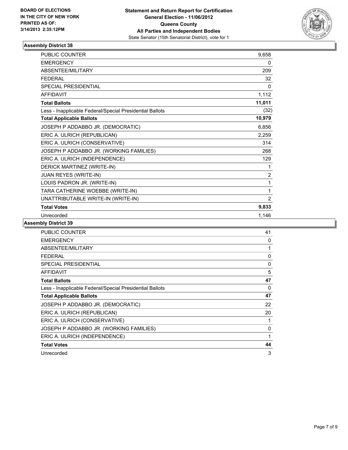

| <b>PUBLIC COUNTER</b>                                    | 9,658          |
|----------------------------------------------------------|----------------|
| <b>EMERGENCY</b>                                         | 0              |
| ABSENTEE/MILITARY                                        | 209            |
| <b>FEDERAL</b>                                           | 32             |
| <b>SPECIAL PRESIDENTIAL</b>                              | 0              |
| <b>AFFIDAVIT</b>                                         | 1,112          |
| <b>Total Ballots</b>                                     | 11,011         |
| Less - Inapplicable Federal/Special Presidential Ballots | (32)           |
| <b>Total Applicable Ballots</b>                          | 10,979         |
| JOSEPH P ADDABBO JR. (DEMOCRATIC)                        | 6,856          |
| ERIC A. ULRICH (REPUBLICAN)                              | 2,259          |
| ERIC A. ULRICH (CONSERVATIVE)                            | 314            |
| JOSEPH P ADDABBO JR. (WORKING FAMILIES)                  | 268            |
| ERIC A. ULRICH (INDEPENDENCE)                            | 129            |
| DERICK MARTINEZ (WRITE-IN)                               | 1              |
| JUAN REYES (WRITE-IN)                                    | $\overline{2}$ |
| LOUIS PADRON JR. (WRITE-IN)                              | 1              |
| TARA CATHERINE WOEBBE (WRITE-IN)                         | 1              |
| UNATTRIBUTABLE WRITE-IN (WRITE-IN)                       | 2              |
| <b>Total Votes</b>                                       | 9,833          |
| Unrecorded                                               | 1,146          |

| <b>PUBLIC COUNTER</b>                                    | 41 |
|----------------------------------------------------------|----|
| <b>EMERGENCY</b>                                         | 0  |
| ABSENTEE/MILITARY                                        | 1  |
| <b>FEDERAL</b>                                           | 0  |
| SPECIAL PRESIDENTIAL                                     | 0  |
| AFFIDAVIT                                                | 5  |
| <b>Total Ballots</b>                                     | 47 |
| Less - Inapplicable Federal/Special Presidential Ballots | 0  |
| <b>Total Applicable Ballots</b>                          | 47 |
| JOSEPH P ADDABBO JR. (DEMOCRATIC)                        | 22 |
| ERIC A. ULRICH (REPUBLICAN)                              | 20 |
| ERIC A. ULRICH (CONSERVATIVE)                            | 1  |
| JOSEPH P ADDABBO JR. (WORKING FAMILIES)                  | 0  |
| ERIC A. ULRICH (INDEPENDENCE)                            | 1  |
| <b>Total Votes</b>                                       | 44 |
| Unrecorded                                               | 3  |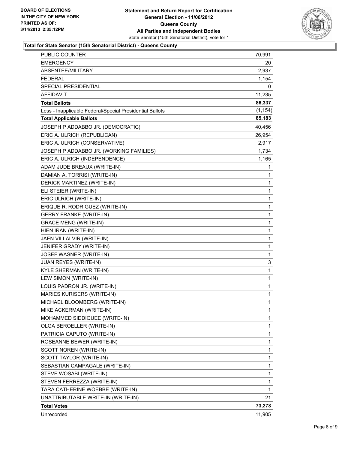

#### **Total for State Senator (15th Senatorial District) - Queens County**

| <b>PUBLIC COUNTER</b>                                    | 70,991   |
|----------------------------------------------------------|----------|
| <b>EMERGENCY</b>                                         | 20       |
| ABSENTEE/MILITARY                                        | 2,937    |
| <b>FEDERAL</b>                                           | 1,154    |
| <b>SPECIAL PRESIDENTIAL</b>                              | 0        |
| <b>AFFIDAVIT</b>                                         | 11,235   |
| <b>Total Ballots</b>                                     | 86,337   |
| Less - Inapplicable Federal/Special Presidential Ballots | (1, 154) |
| <b>Total Applicable Ballots</b>                          | 85,183   |
| JOSEPH P ADDABBO JR. (DEMOCRATIC)                        | 40,456   |
| ERIC A. ULRICH (REPUBLICAN)                              | 26,954   |
| ERIC A. ULRICH (CONSERVATIVE)                            | 2,917    |
| JOSEPH P ADDABBO JR. (WORKING FAMILIES)                  | 1,734    |
| ERIC A. ULRICH (INDEPENDENCE)                            | 1,165    |
| ADAM JUDE BREAUX (WRITE-IN)                              | 1        |
| DAMIAN A. TORRISI (WRITE-IN)                             | 1        |
| DERICK MARTINEZ (WRITE-IN)                               | 1        |
| ELI STEIER (WRITE-IN)                                    | 1        |
| ERIC ULRICH (WRITE-IN)                                   | 1        |
| ERIQUE R. RODRIGUEZ (WRITE-IN)                           | 1        |
| <b>GERRY FRANKE (WRITE-IN)</b>                           | 1        |
| <b>GRACE MENG (WRITE-IN)</b>                             | 1        |
| HIEN IRAN (WRITE-IN)                                     | 1        |
| JAEN VILLALVIR (WRITE-IN)                                | 1        |
| JENIFER GRADY (WRITE-IN)                                 | 1        |
| JOSEF WASNER (WRITE-IN)                                  | 1        |
| JUAN REYES (WRITE-IN)                                    | 3        |
| KYLE SHERMAN (WRITE-IN)                                  | 1        |
| LEW SIMON (WRITE-IN)                                     | 1        |
| LOUIS PADRON JR. (WRITE-IN)                              | 1        |
| <b>MARIES KURISERS (WRITE-IN)</b>                        | 1        |
| MICHAEL BLOOMBERG (WRITE-IN)                             | 1        |
| MIKE ACKERMAN (WRITE-IN)                                 | 1        |
| MOHAMMED SIDDIQUEE (WRITE-IN)                            | 1        |
| OLGA BEROELLER (WRITE-IN)                                | 1        |
| PATRICIA CAPUTO (WRITE-IN)                               | 1        |
| ROSEANNE BEWER (WRITE-IN)                                | 1        |
| SCOTT NOREN (WRITE-IN)                                   | 1        |
| SCOTT TAYLOR (WRITE-IN)                                  | 1        |
| SEBASTIAN CAMPAGALE (WRITE-IN)                           | 1        |
| STEVE WOSABI (WRITE-IN)                                  | 1        |
| STEVEN FERREZZA (WRITE-IN)                               | 1        |
| TARA CATHERINE WOEBBE (WRITE-IN)                         | 1        |
| UNATTRIBUTABLE WRITE-IN (WRITE-IN)                       | 21       |
| <b>Total Votes</b>                                       | 73,278   |
| Unrecorded                                               | 11,905   |